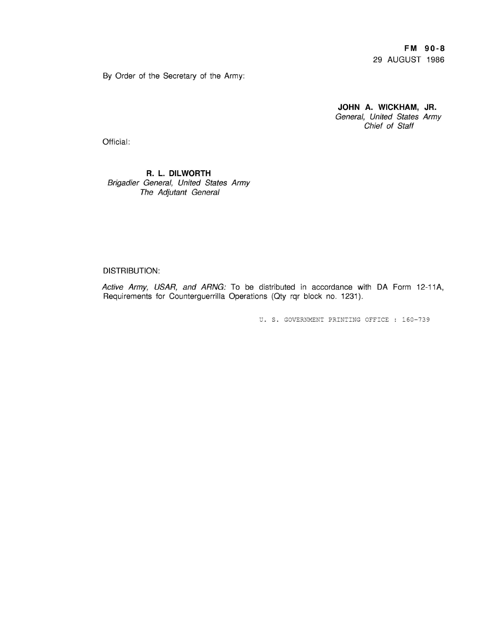**FM 90-8** 29 AUGUST 1986

By Order of the Secretary of the Army:

**JOHN A. WICKHAM, JR.** General, United States Army Chief of Staff

Official:

## **R. L. DILWORTH** Brigadier General, United States Army The Adjutant General

## DISTRIBUTION:

Active Army, USAR, and ARNG: To be distributed in accordance with DA Form 12-11A, Requirements for Counterguerrilla Operations (Oty rqr block no. 1231).

U. S. GOVERNMENT PRINTING OFFICE: 160-739